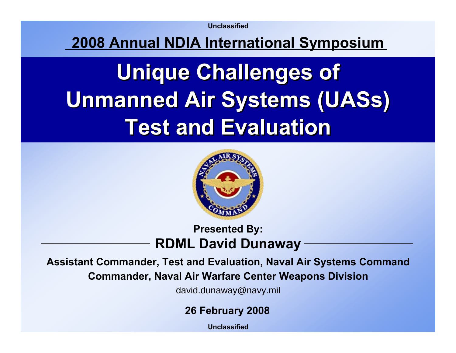**Unclassified**

#### **2008 Annual NDIA International Symposium**

# **Unique Challenges of Unique Challenges of Unmanned Air Systems (UASs) Unmanned Air Systems (UASs) Test and EvaluationTest and Evaluation**



#### **Presented By: RDML David Dunaway**

**Assistant Commander, Test and Evaluation, Naval Air Systems Command Commander, Naval Air Warfare Center Weapons Division**

david.dunaway@navy.mil

**26 February 2008**

**Unclassified**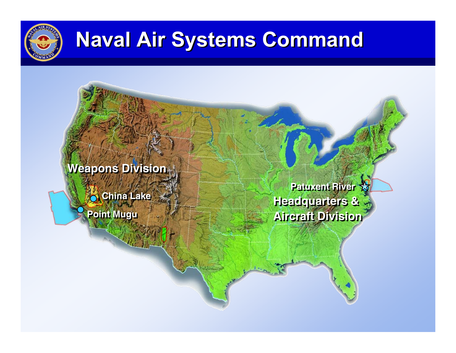

# **Naval Air Systems Command Naval Air Systems Command**

**Weapons Division** 

**China Lake China Lake**

**Point Mugu Point Mugu**

**Patuxent River Patuxent River Headquarters & Headquarters & Aircraft Division Aircraft Division**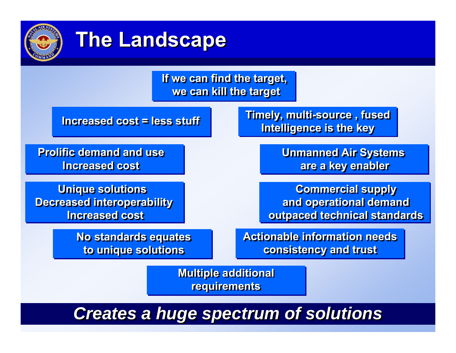

## **The Landscape The Landscape**

|                                    | If we can find the target,<br>we can kill the target |                                                                      |  |
|------------------------------------|------------------------------------------------------|----------------------------------------------------------------------|--|
| <b>Increased cost = less stuff</b> |                                                      | <b>Timely, multi-source, fused</b><br><b>Intelligence is the key</b> |  |
|                                    |                                                      |                                                                      |  |

**Prolific demand and use Increased costIncreased cost**

**Unique solutions Unique solutions Decreased interoperability Decreased interoperability Increased costIncreased cost**

> **No standards equates No standards equates to unique solutions to unique solutions**

**Unmanned Air Systems Unmanned Air Systems are a key enabler are a key enabler**

**Commercial supply Commercial supply and operational demand and operational demand outpaced technical standards outpaced technical standards**

**Actionable information needs Actionable information needs consistency and trust consistency and trust**

**Multiple additional Multiple additional requirements requirements**

### *Creates a huge spectrum of solutions Creates a huge spectrum of solutions*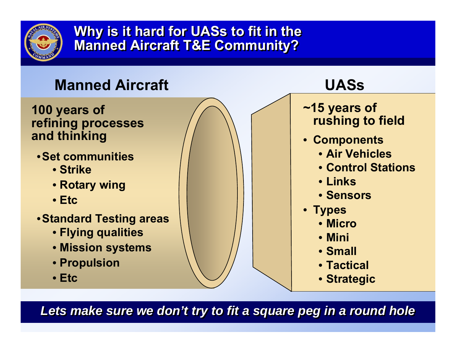

 **Why is it hard for UASs to fit in the Why is it hard for UASs to fit in the Manned Aircraft T&E Community? Manned Aircraft T&E Community?**



Lets make sure we don't try to fit a square peg in a round hole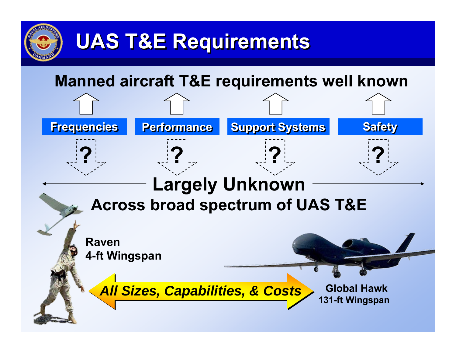

## **UAS T&E Requirements UAS T&E Requirements**

### **Manned aircraft T&E requirements well known**

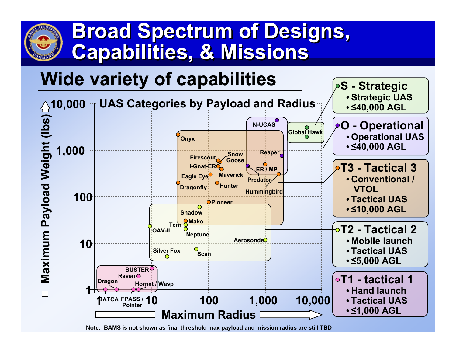## **Broad Spectrum of Designs, Broad Spectrum of Designs, Capabilities, & Missions Capabilities, & Missions**

## **Wide variety of capabilities**



**Note: BAMS i s not sho wn as final threshold max payload and mission radius are still TBD**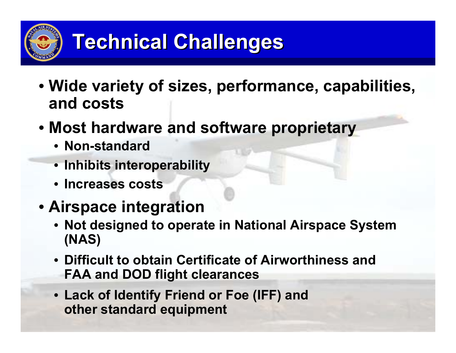

- **Wide variety of sizes, performance, capabilities, and costs**
- **Most hardware and software proprietary**
	- **Non-standard**
	- **Inhibits interoperability**
	- **Increases costs**
- **Airspace integration**
	- **Not designed to operate in National Airspace System (NAS)**
	- **Difficult to obtain Certificate of Airworthiness and FAA and DOD flight clearances**
	- **Lack of Identify Friend or Foe (IFF) and other standard equipment**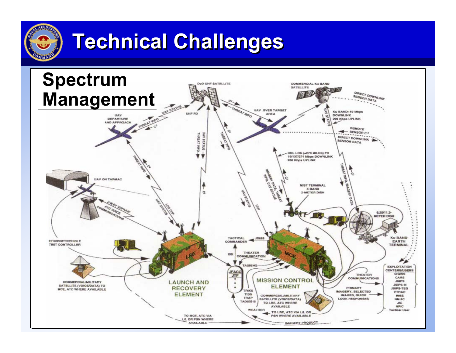

# **Technical Challenges Technical Challenges**

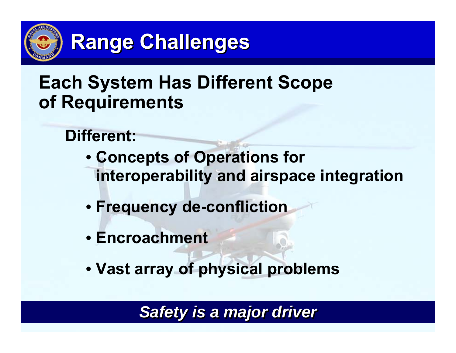

## **Range Challenges**

### **Each System Has Different Scope of Requirements**

- **Different:**
	- **Concepts of Operations for interoperability and airspace integration**
	- **Frequency de-confliction**
	- **Encroachment**
	- **Vast array of physical problems**

#### *Safety is a major driver Safety is a major driver*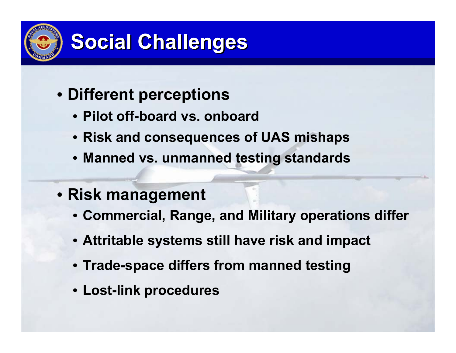

- **Different perceptions**
	- **Pilot off-board vs. onboard**
	- **Risk and consequences of UAS mishaps**
	- **Manned vs. unmanned testing standards**
- **Risk management** 
	- **Commercial, Range, and Military operations differ**
	- **Attritable systems still have risk and impact**
	- **Trade-space differs from manned testing**
	- **Lost-link procedures**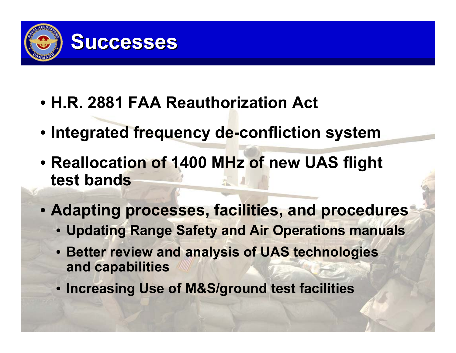

- **H.R. 2881 FAA Reauthorization Act**
- **Integrated frequency de-confliction system**
- **Reallocation of 1400 MHz of new UAS flight test bands**
- **Adapting processes, facilities, and procedures**
	- **Updating Range Safety and Air Operations manuals**
	- **Better review and analysis of UAS technologies and capabilities**
	- **Increasing Use of M&S/ground test facilities**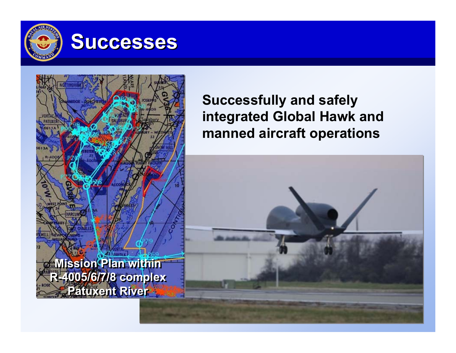

### **Successes**



#### **Successfully and safely integrated Global Hawk and manned aircraft operations**

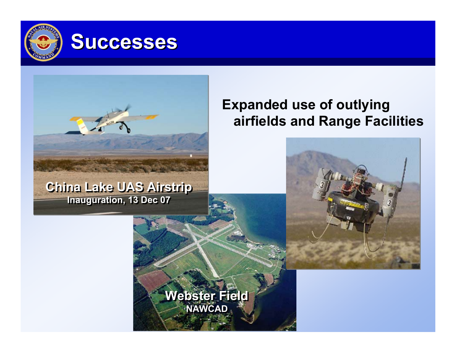

**China Lake UAS Airstrip China Lake UAS Airstrip Inauguration, 13 Dec 07 Inauguration, 13 Dec 07**

#### **Expanded use of outlying airfields and Range Facilities**



**Webster Field Webster Field NAWCAD NAWCAD**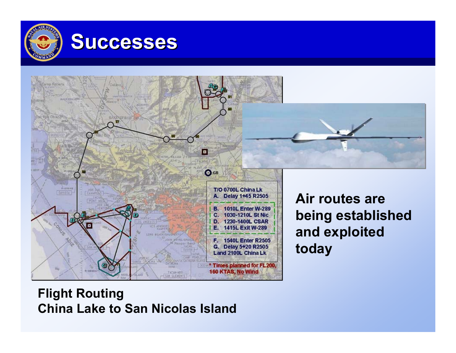

### **Successes**



#### **Flight Routing China Lake to San Nicolas Island**